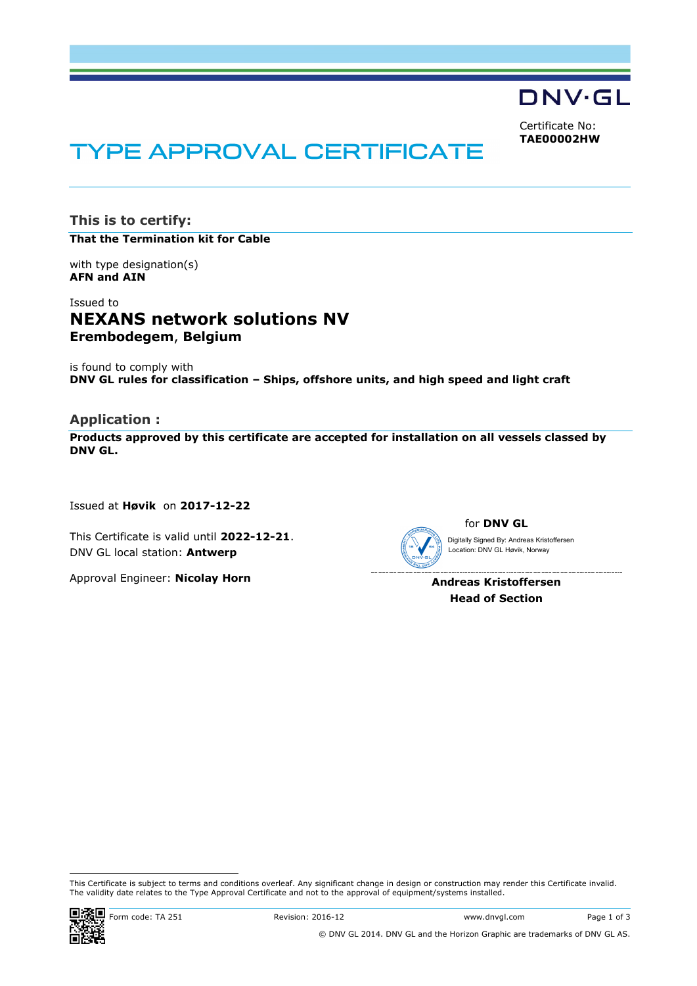DNV·GL

Certificate No: **TAE00002HW**

# **TYPE APPROVAL CERTIFICATE**

**This is to certify:**

**That the Termination kit for Cable**

with type designation(s) **AFN and AIN**

# Issued to **NEXANS network solutions NV Erembodegem**, **Belgium**

is found to comply with **DNV GL rules for classification – Ships, offshore units, and high speed and light craft**

## **Application :**

**Products approved by this certificate are accepted for installation on all vessels classed by DNV GL.**

Issued at **Høvik** on **2017-12-22**

This Certificate is valid until **2022-12-21**. DNV GL local station: **Antwerp**

Approval Engineer: **Nicolay Horn**



**Andreas Kristoffersen Head of Section**

 This Certificate is subject to terms and conditions overleaf. Any significant change in design or construction may render this Certificate invalid. The validity date relates to the Type Approval Certificate and not to the approval of equipment/systems installed.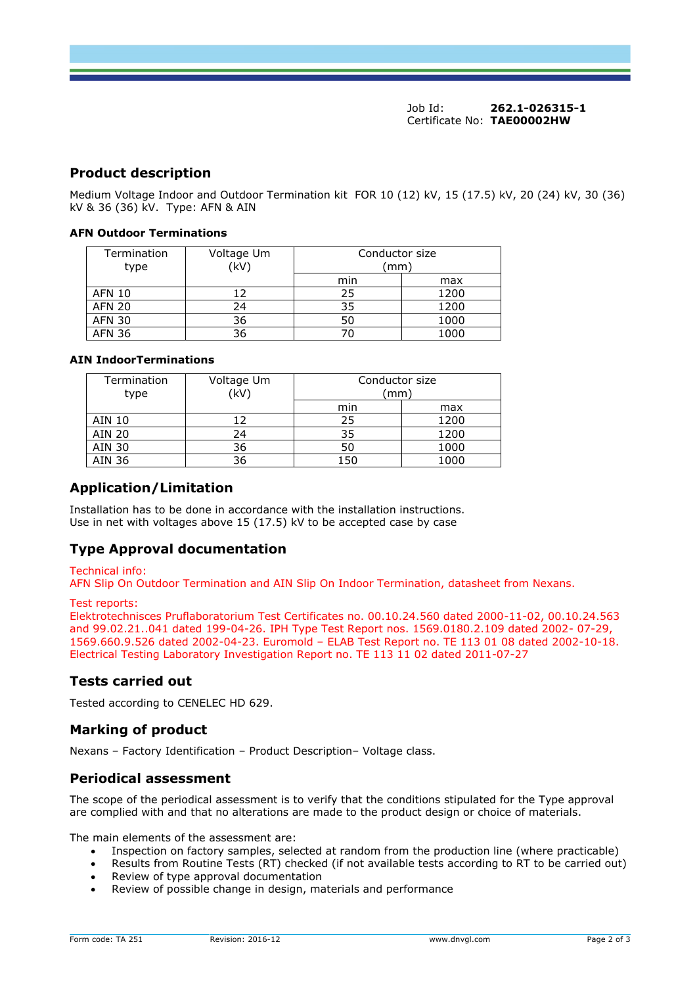## **Product description**

Medium Voltage Indoor and Outdoor Termination kit FOR 10 (12) kV, 15 (17.5) kV, 20 (24) kV, 30 (36) kV & 36 (36) kV. Type: AFN & AIN

#### **AFN Outdoor Terminations**

| Termination<br>type | Voltage Um<br>(kV) | Conductor size<br>(mm) |      |
|---------------------|--------------------|------------------------|------|
|                     |                    | min                    | max  |
| <b>AFN 10</b>       |                    | 25                     | 1200 |
| <b>AFN 20</b>       | 24                 | 35                     | 1200 |
| <b>AFN 30</b>       | 36                 | 50                     | 1000 |
| AFN 36              | 36                 | 70                     | 1000 |

#### **AIN IndoorTerminations**

| Termination<br>type | Voltage Um<br>(kV) | Conductor size<br>mm |      |
|---------------------|--------------------|----------------------|------|
|                     |                    | min                  | max  |
| AIN 10              |                    | 25                   | 1200 |
| AIN 20              | 24                 | 35                   | 1200 |
| <b>AIN 30</b>       | 36                 | 50                   | 1000 |
| AIN 36              | 36                 | 150                  | 1000 |

## **Application/Limitation**

Installation has to be done in accordance with the installation instructions. Use in net with voltages above 15 (17.5) kV to be accepted case by case

# **Type Approval documentation**

#### Technical info:

AFN Slip On Outdoor Termination and AIN Slip On Indoor Termination, datasheet from Nexans.

Test reports:

Elektrotechnisces Pruflaboratorium Test Certificates no. 00.10.24.560 dated 2000-11-02, 00.10.24.563 and 99.02.21..041 dated 199-04-26. IPH Type Test Report nos. 1569.0180.2.109 dated 2002- 07-29, 1569.660.9.526 dated 2002-04-23. Euromold – ELAB Test Report no. TE 113 01 08 dated 2002-10-18. Electrical Testing Laboratory Investigation Report no. TE 113 11 02 dated 2011-07-27

## **Tests carried out**

Tested according to CENELEC HD 629.

# **Marking of product**

Nexans – Factory Identification – Product Description– Voltage class.

#### **Periodical assessment**

The scope of the periodical assessment is to verify that the conditions stipulated for the Type approval are complied with and that no alterations are made to the product design or choice of materials.

The main elements of the assessment are:

- Inspection on factory samples, selected at random from the production line (where practicable)
- Results from Routine Tests (RT) checked (if not available tests according to RT to be carried out)
- Review of type approval documentation
- Review of possible change in design, materials and performance